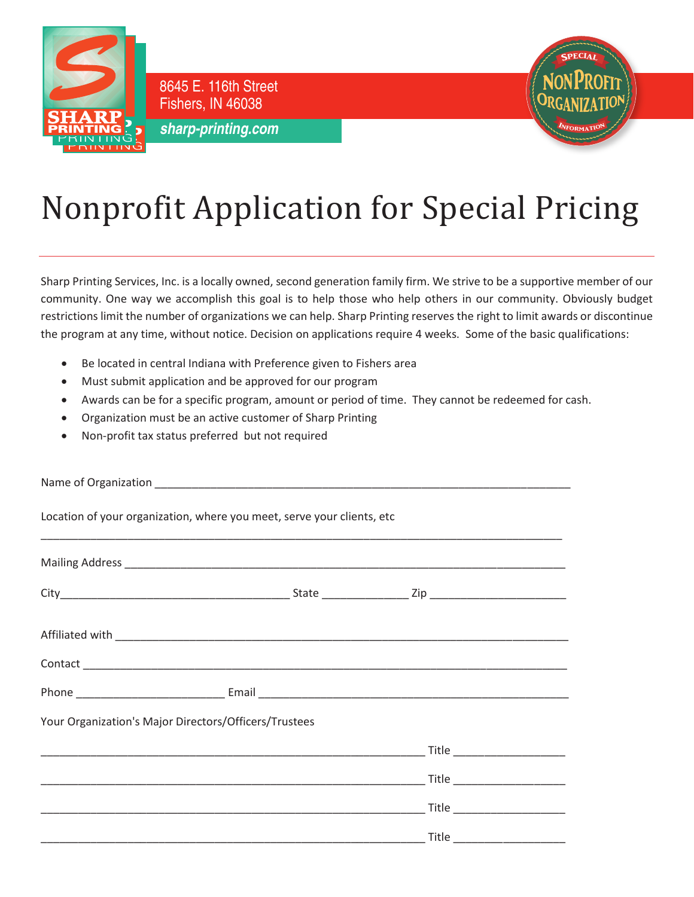

Fishers, IN 46038 **sharp-printing.com**

8645 E. 116th Street



## Nonprofit Application for Special Pricing

Sharp Printing Services, Inc. is a locally owned, second generation family firm. We strive to be a supportive member of our community. One way we accomplish this goal is to help those who help others in our community. Obviously budget restrictions limit the number of organizations we can help. Sharp Printing reserves the right to limit awards or discontinue the program at any time, without notice. Decision on applications require 4 weeks. Some of the basic qualifications:

- Be located in central Indiana with Preference given to Fishers area
- Must submit application and be approved for our program
- Awards can be for a specific program, amount or period of time. They cannot be redeemed for cash.
- Organization must be an active customer of Sharp Printing
- Non-profit tax status preferred but not required

| Location of your organization, where you meet, serve your clients, etc |  |  |  |
|------------------------------------------------------------------------|--|--|--|
|                                                                        |  |  |  |
|                                                                        |  |  |  |
|                                                                        |  |  |  |
|                                                                        |  |  |  |
|                                                                        |  |  |  |
| Your Organization's Major Directors/Officers/Trustees                  |  |  |  |
|                                                                        |  |  |  |
|                                                                        |  |  |  |
|                                                                        |  |  |  |
|                                                                        |  |  |  |